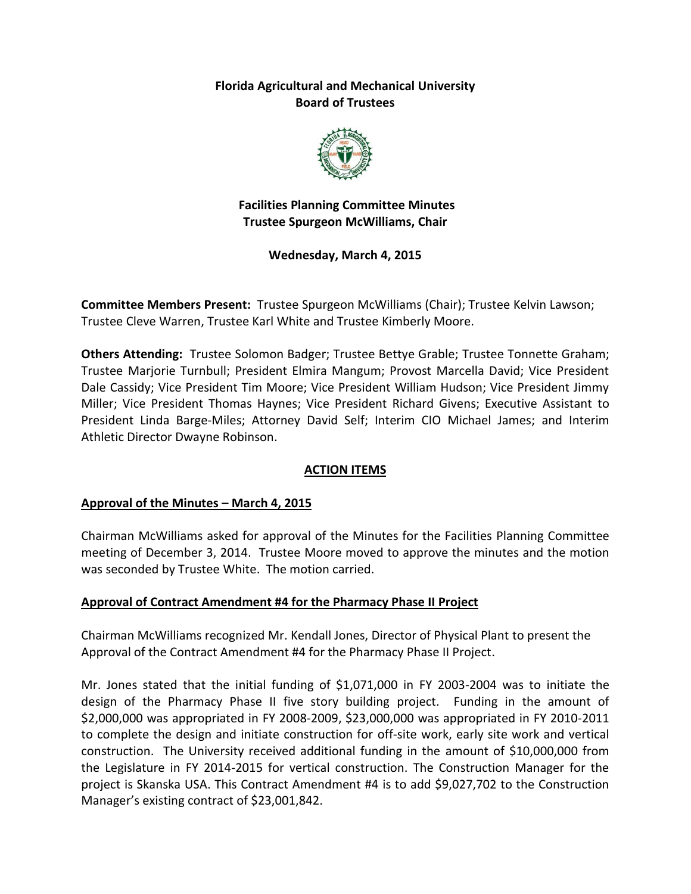## **Florida Agricultural and Mechanical University Board of Trustees**



**Facilities Planning Committee Minutes Trustee Spurgeon McWilliams, Chair**

**Wednesday, March 4, 2015**

**Committee Members Present:** Trustee Spurgeon McWilliams (Chair); Trustee Kelvin Lawson; Trustee Cleve Warren, Trustee Karl White and Trustee Kimberly Moore.

**Others Attending:** Trustee Solomon Badger; Trustee Bettye Grable; Trustee Tonnette Graham; Trustee Marjorie Turnbull; President Elmira Mangum; Provost Marcella David; Vice President Dale Cassidy; Vice President Tim Moore; Vice President William Hudson; Vice President Jimmy Miller; Vice President Thomas Haynes; Vice President Richard Givens; Executive Assistant to President Linda Barge-Miles; Attorney David Self; Interim CIO Michael James; and Interim Athletic Director Dwayne Robinson.

## **ACTION ITEMS**

## **Approval of the Minutes – March 4, 2015**

Chairman McWilliams asked for approval of the Minutes for the Facilities Planning Committee meeting of December 3, 2014. Trustee Moore moved to approve the minutes and the motion was seconded by Trustee White. The motion carried.

### **Approval of Contract Amendment #4 for the Pharmacy Phase II Project**

Chairman McWilliams recognized Mr. Kendall Jones, Director of Physical Plant to present the Approval of the Contract Amendment #4 for the Pharmacy Phase II Project.

Mr. Jones stated that the initial funding of \$1,071,000 in FY 2003-2004 was to initiate the design of the Pharmacy Phase II five story building project. Funding in the amount of \$2,000,000 was appropriated in FY 2008-2009, \$23,000,000 was appropriated in FY 2010-2011 to complete the design and initiate construction for off-site work, early site work and vertical construction. The University received additional funding in the amount of \$10,000,000 from the Legislature in FY 2014-2015 for vertical construction. The Construction Manager for the project is Skanska USA. This Contract Amendment #4 is to add \$9,027,702 to the Construction Manager's existing contract of \$23,001,842.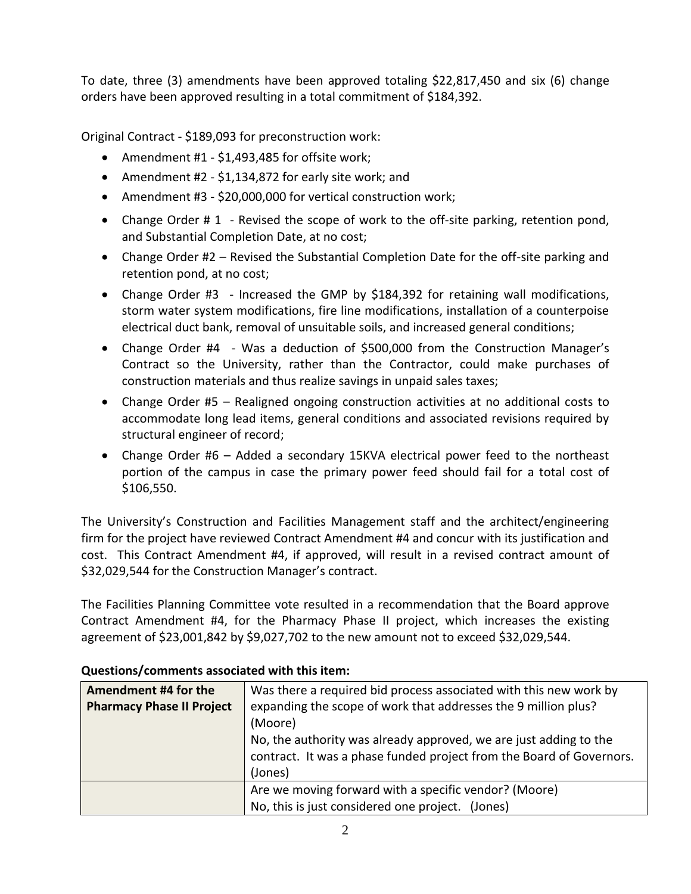To date, three (3) amendments have been approved totaling \$22,817,450 and six (6) change orders have been approved resulting in a total commitment of \$184,392.

Original Contract - \$189,093 for preconstruction work:

- Amendment #1 \$1,493,485 for offsite work;
- Amendment #2 \$1,134,872 for early site work; and
- Amendment #3 \$20,000,000 for vertical construction work;
- Change Order # 1 Revised the scope of work to the off-site parking, retention pond, and Substantial Completion Date, at no cost;
- Change Order #2 Revised the Substantial Completion Date for the off-site parking and retention pond, at no cost;
- Change Order #3 Increased the GMP by \$184,392 for retaining wall modifications, storm water system modifications, fire line modifications, installation of a counterpoise electrical duct bank, removal of unsuitable soils, and increased general conditions;
- Change Order #4 Was a deduction of \$500,000 from the Construction Manager's Contract so the University, rather than the Contractor, could make purchases of construction materials and thus realize savings in unpaid sales taxes;
- Change Order #5 Realigned ongoing construction activities at no additional costs to accommodate long lead items, general conditions and associated revisions required by structural engineer of record;
- Change Order #6 Added a secondary 15KVA electrical power feed to the northeast portion of the campus in case the primary power feed should fail for a total cost of \$106,550.

The University's Construction and Facilities Management staff and the architect/engineering firm for the project have reviewed Contract Amendment #4 and concur with its justification and cost. This Contract Amendment #4, if approved, will result in a revised contract amount of \$32,029,544 for the Construction Manager's contract.

The Facilities Planning Committee vote resulted in a recommendation that the Board approve Contract Amendment #4, for the Pharmacy Phase II project, which increases the existing agreement of \$23,001,842 by \$9,027,702 to the new amount not to exceed \$32,029,544.

| Amendment #4 for the             | Was there a required bid process associated with this new work by    |
|----------------------------------|----------------------------------------------------------------------|
| <b>Pharmacy Phase II Project</b> | expanding the scope of work that addresses the 9 million plus?       |
|                                  | (Moore)                                                              |
|                                  | No, the authority was already approved, we are just adding to the    |
|                                  | contract. It was a phase funded project from the Board of Governors. |
|                                  | (Jones)                                                              |
|                                  | Are we moving forward with a specific vendor? (Moore)                |
|                                  | No, this is just considered one project. (Jones)                     |

## **Questions/comments associated with this item:**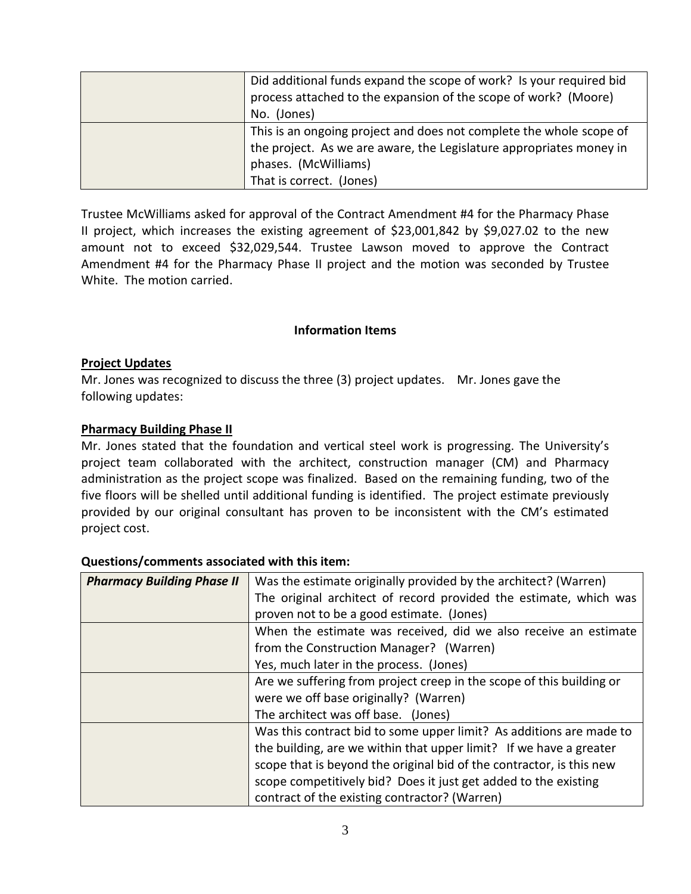| Did additional funds expand the scope of work? Is your required bid |
|---------------------------------------------------------------------|
| process attached to the expansion of the scope of work? (Moore)     |
| No. (Jones)                                                         |
| This is an ongoing project and does not complete the whole scope of |
| the project. As we are aware, the Legislature appropriates money in |
| phases. (McWilliams)                                                |
| That is correct. (Jones)                                            |

Trustee McWilliams asked for approval of the Contract Amendment #4 for the Pharmacy Phase II project, which increases the existing agreement of \$23,001,842 by \$9,027.02 to the new amount not to exceed \$32,029,544. Trustee Lawson moved to approve the Contract Amendment #4 for the Pharmacy Phase II project and the motion was seconded by Trustee White. The motion carried.

### **Information Items**

#### **Project Updates**

Mr. Jones was recognized to discuss the three (3) project updates. Mr. Jones gave the following updates:

#### **Pharmacy Building Phase II**

Mr. Jones stated that the foundation and vertical steel work is progressing. The University's project team collaborated with the architect, construction manager (CM) and Pharmacy administration as the project scope was finalized. Based on the remaining funding, two of the five floors will be shelled until additional funding is identified. The project estimate previously provided by our original consultant has proven to be inconsistent with the CM's estimated project cost.

| <b>Pharmacy Building Phase II</b> | Was the estimate originally provided by the architect? (Warren)      |
|-----------------------------------|----------------------------------------------------------------------|
|                                   | The original architect of record provided the estimate, which was    |
|                                   | proven not to be a good estimate. (Jones)                            |
|                                   | When the estimate was received, did we also receive an estimate      |
|                                   | from the Construction Manager? (Warren)                              |
|                                   | Yes, much later in the process. (Jones)                              |
|                                   | Are we suffering from project creep in the scope of this building or |
|                                   | were we off base originally? (Warren)                                |
|                                   | The architect was off base. (Jones)                                  |
|                                   | Was this contract bid to some upper limit? As additions are made to  |
|                                   | the building, are we within that upper limit? If we have a greater   |
|                                   | scope that is beyond the original bid of the contractor, is this new |
|                                   | scope competitively bid? Does it just get added to the existing      |
|                                   | contract of the existing contractor? (Warren)                        |

#### **Questions/comments associated with this item:**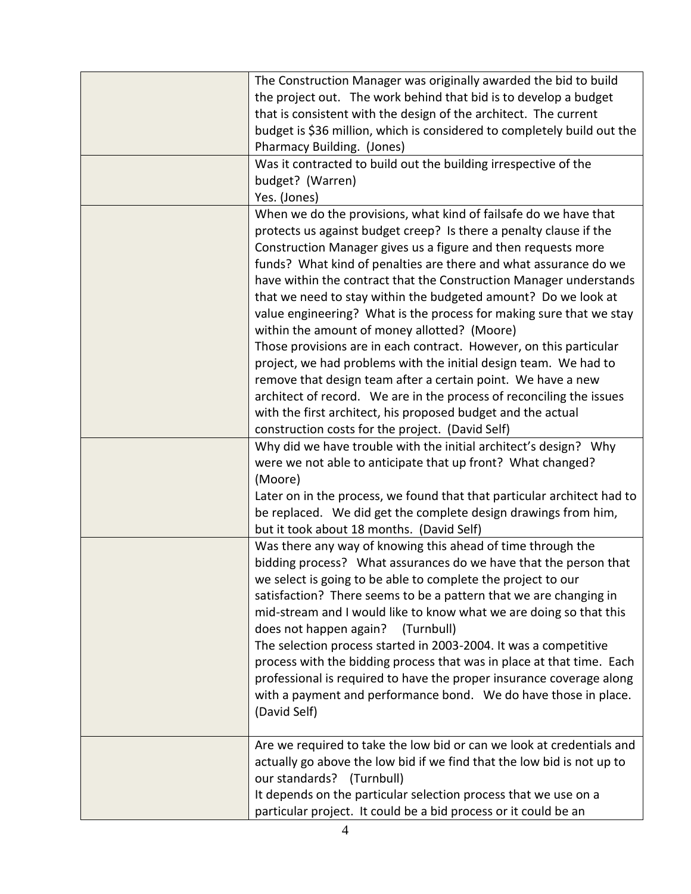| The Construction Manager was originally awarded the bid to build        |
|-------------------------------------------------------------------------|
| the project out. The work behind that bid is to develop a budget        |
| that is consistent with the design of the architect. The current        |
|                                                                         |
| budget is \$36 million, which is considered to completely build out the |
| Pharmacy Building. (Jones)                                              |
| Was it contracted to build out the building irrespective of the         |
| budget? (Warren)                                                        |
| Yes. (Jones)                                                            |
| When we do the provisions, what kind of failsafe do we have that        |
| protects us against budget creep? Is there a penalty clause if the      |
| Construction Manager gives us a figure and then requests more           |
| funds? What kind of penalties are there and what assurance do we        |
| have within the contract that the Construction Manager understands      |
| that we need to stay within the budgeted amount? Do we look at          |
| value engineering? What is the process for making sure that we stay     |
| within the amount of money allotted? (Moore)                            |
| Those provisions are in each contract. However, on this particular      |
| project, we had problems with the initial design team. We had to        |
| remove that design team after a certain point. We have a new            |
| architect of record. We are in the process of reconciling the issues    |
| with the first architect, his proposed budget and the actual            |
| construction costs for the project. (David Self)                        |
| Why did we have trouble with the initial architect's design? Why        |
| were we not able to anticipate that up front? What changed?             |
| (Moore)                                                                 |
| Later on in the process, we found that that particular architect had to |
| be replaced. We did get the complete design drawings from him,          |
| but it took about 18 months. (David Self)                               |
| Was there any way of knowing this ahead of time through the             |
| bidding process? What assurances do we have that the person that        |
| we select is going to be able to complete the project to our            |
| satisfaction? There seems to be a pattern that we are changing in       |
| mid-stream and I would like to know what we are doing so that this      |
| does not happen again?<br>(Turnbull)                                    |
| The selection process started in 2003-2004. It was a competitive        |
| process with the bidding process that was in place at that time. Each   |
|                                                                         |
| professional is required to have the proper insurance coverage along    |
| with a payment and performance bond. We do have those in place.         |
| (David Self)                                                            |
| Are we required to take the low bid or can we look at credentials and   |
|                                                                         |
| actually go above the low bid if we find that the low bid is not up to  |
| our standards? (Turnbull)                                               |
| It depends on the particular selection process that we use on a         |
| particular project. It could be a bid process or it could be an         |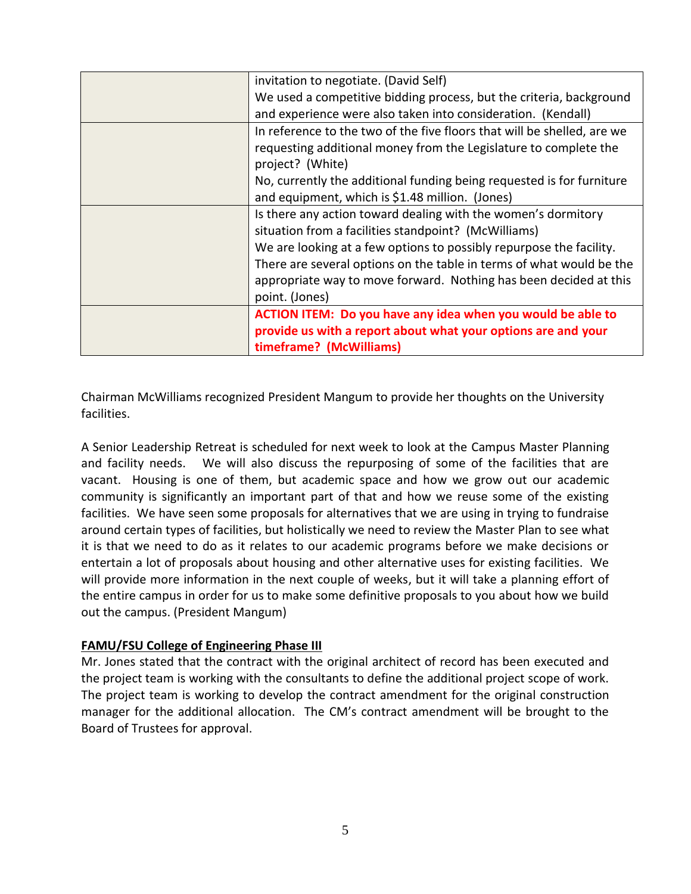| invitation to negotiate. (David Self)                                   |
|-------------------------------------------------------------------------|
| We used a competitive bidding process, but the criteria, background     |
| and experience were also taken into consideration. (Kendall)            |
| In reference to the two of the five floors that will be shelled, are we |
| requesting additional money from the Legislature to complete the        |
| project? (White)                                                        |
| No, currently the additional funding being requested is for furniture   |
| and equipment, which is \$1.48 million. (Jones)                         |
| Is there any action toward dealing with the women's dormitory           |
| situation from a facilities standpoint? (McWilliams)                    |
| We are looking at a few options to possibly repurpose the facility.     |
| There are several options on the table in terms of what would be the    |
| appropriate way to move forward. Nothing has been decided at this       |
| point. (Jones)                                                          |
| ACTION ITEM: Do you have any idea when you would be able to             |
| provide us with a report about what your options are and your           |
| timeframe? (McWilliams)                                                 |

Chairman McWilliams recognized President Mangum to provide her thoughts on the University facilities.

A Senior Leadership Retreat is scheduled for next week to look at the Campus Master Planning and facility needs. We will also discuss the repurposing of some of the facilities that are vacant. Housing is one of them, but academic space and how we grow out our academic community is significantly an important part of that and how we reuse some of the existing facilities. We have seen some proposals for alternatives that we are using in trying to fundraise around certain types of facilities, but holistically we need to review the Master Plan to see what it is that we need to do as it relates to our academic programs before we make decisions or entertain a lot of proposals about housing and other alternative uses for existing facilities. We will provide more information in the next couple of weeks, but it will take a planning effort of the entire campus in order for us to make some definitive proposals to you about how we build out the campus. (President Mangum)

### **FAMU/FSU College of Engineering Phase III**

Mr. Jones stated that the contract with the original architect of record has been executed and the project team is working with the consultants to define the additional project scope of work. The project team is working to develop the contract amendment for the original construction manager for the additional allocation. The CM's contract amendment will be brought to the Board of Trustees for approval.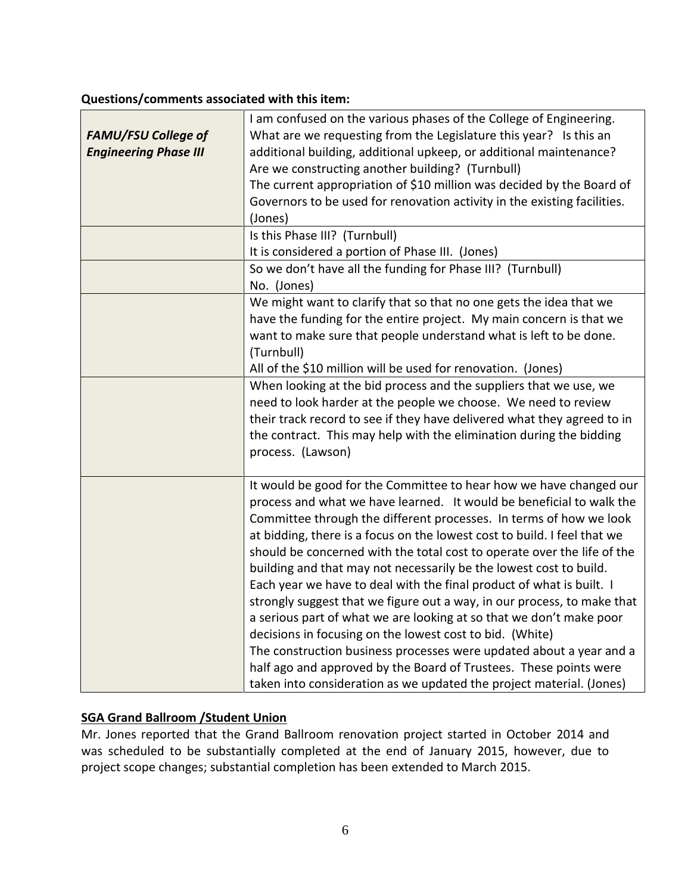### **Questions/comments associated with this item:**

| <b>FAMU/FSU College of</b>   | I am confused on the various phases of the College of Engineering.<br>What are we requesting from the Legislature this year? Is this an |
|------------------------------|-----------------------------------------------------------------------------------------------------------------------------------------|
| <b>Engineering Phase III</b> | additional building, additional upkeep, or additional maintenance?                                                                      |
|                              | Are we constructing another building? (Turnbull)                                                                                        |
|                              | The current appropriation of \$10 million was decided by the Board of                                                                   |
|                              | Governors to be used for renovation activity in the existing facilities.                                                                |
|                              | (Jones)                                                                                                                                 |
|                              | Is this Phase III? (Turnbull)                                                                                                           |
|                              | It is considered a portion of Phase III. (Jones)                                                                                        |
|                              | So we don't have all the funding for Phase III? (Turnbull)                                                                              |
|                              | No. (Jones)                                                                                                                             |
|                              | We might want to clarify that so that no one gets the idea that we                                                                      |
|                              | have the funding for the entire project. My main concern is that we                                                                     |
|                              | want to make sure that people understand what is left to be done.                                                                       |
|                              | (Turnbull)                                                                                                                              |
|                              | All of the \$10 million will be used for renovation. (Jones)                                                                            |
|                              | When looking at the bid process and the suppliers that we use, we                                                                       |
|                              | need to look harder at the people we choose. We need to review                                                                          |
|                              | their track record to see if they have delivered what they agreed to in                                                                 |
|                              | the contract. This may help with the elimination during the bidding<br>process. (Lawson)                                                |
|                              |                                                                                                                                         |
|                              | It would be good for the Committee to hear how we have changed our                                                                      |
|                              | process and what we have learned. It would be beneficial to walk the                                                                    |
|                              | Committee through the different processes. In terms of how we look                                                                      |
|                              | at bidding, there is a focus on the lowest cost to build. I feel that we                                                                |
|                              | should be concerned with the total cost to operate over the life of the                                                                 |
|                              | building and that may not necessarily be the lowest cost to build.                                                                      |
|                              | Each year we have to deal with the final product of what is built. I                                                                    |
|                              | strongly suggest that we figure out a way, in our process, to make that                                                                 |
|                              | a serious part of what we are looking at so that we don't make poor                                                                     |
|                              | decisions in focusing on the lowest cost to bid. (White)                                                                                |
|                              | The construction business processes were updated about a year and a                                                                     |
|                              | half ago and approved by the Board of Trustees. These points were                                                                       |
|                              | taken into consideration as we updated the project material. (Jones)                                                                    |

## **SGA Grand Ballroom /Student Union**

Mr. Jones reported that the Grand Ballroom renovation project started in October 2014 and was scheduled to be substantially completed at the end of January 2015, however, due to project scope changes; substantial completion has been extended to March 2015.